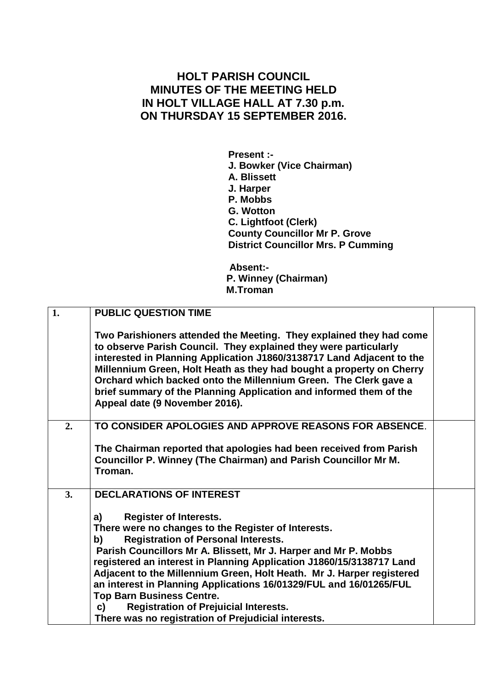## **HOLT PARISH COUNCIL MINUTES OF THE MEETING HELD IN HOLT VILLAGE HALL AT 7.30 p.m. ON THURSDAY 15 SEPTEMBER 2016.**

**Present :- J. Bowker (Vice Chairman) A. Blissett J. Harper P. Mobbs G. Wotton C. Lightfoot (Clerk) County Councillor Mr P. Grove District Councillor Mrs. P Cumming**

 **Absent:- P. Winney (Chairman) M.Troman**

| 1. | <b>PUBLIC QUESTION TIME</b>                                                                                                                                                                                                                                                                                                                                                                                                                                                                                                                                                               |  |
|----|-------------------------------------------------------------------------------------------------------------------------------------------------------------------------------------------------------------------------------------------------------------------------------------------------------------------------------------------------------------------------------------------------------------------------------------------------------------------------------------------------------------------------------------------------------------------------------------------|--|
|    | Two Parishioners attended the Meeting. They explained they had come<br>to observe Parish Council. They explained they were particularly<br>interested in Planning Application J1860/3138717 Land Adjacent to the<br>Millennium Green, Holt Heath as they had bought a property on Cherry<br>Orchard which backed onto the Millennium Green. The Clerk gave a<br>brief summary of the Planning Application and informed them of the<br>Appeal date (9 November 2016).                                                                                                                      |  |
| 2. | TO CONSIDER APOLOGIES AND APPROVE REASONS FOR ABSENCE.                                                                                                                                                                                                                                                                                                                                                                                                                                                                                                                                    |  |
|    | The Chairman reported that apologies had been received from Parish<br>Councillor P. Winney (The Chairman) and Parish Councillor Mr M.<br>Troman.                                                                                                                                                                                                                                                                                                                                                                                                                                          |  |
| 3. | <b>DECLARATIONS OF INTEREST</b>                                                                                                                                                                                                                                                                                                                                                                                                                                                                                                                                                           |  |
|    | <b>Register of Interests.</b><br>a)<br>There were no changes to the Register of Interests.<br><b>Registration of Personal Interests.</b><br>b)<br>Parish Councillors Mr A. Blissett, Mr J. Harper and Mr P. Mobbs<br>registered an interest in Planning Application J1860/15/3138717 Land<br>Adjacent to the Millennium Green, Holt Heath. Mr J. Harper registered<br>an interest in Planning Applications 16/01329/FUL and 16/01265/FUL<br><b>Top Barn Business Centre.</b><br><b>Registration of Prejuicial Interests.</b><br>C)<br>There was no registration of Prejudicial interests. |  |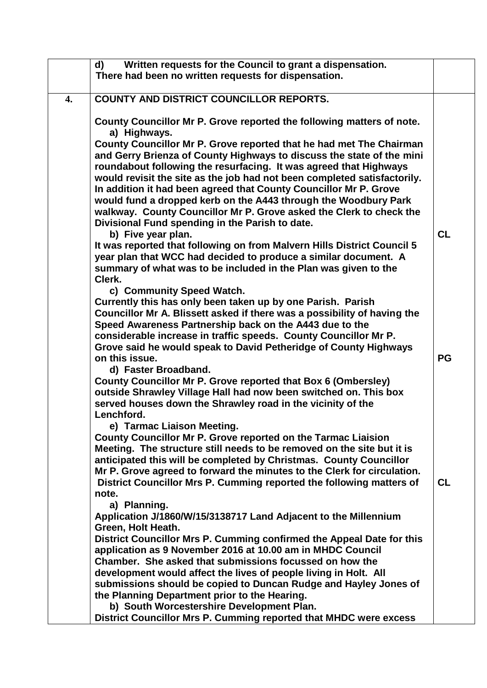| There had been no written requests for dispensation.                                        |  |
|---------------------------------------------------------------------------------------------|--|
|                                                                                             |  |
|                                                                                             |  |
| <b>COUNTY AND DISTRICT COUNCILLOR REPORTS.</b><br>4.                                        |  |
|                                                                                             |  |
| County Councillor Mr P. Grove reported the following matters of note.                       |  |
| a) Highways.                                                                                |  |
| County Councillor Mr P. Grove reported that he had met The Chairman                         |  |
| and Gerry Brienza of County Highways to discuss the state of the mini                       |  |
| roundabout following the resurfacing. It was agreed that Highways                           |  |
| would revisit the site as the job had not been completed satisfactorily.                    |  |
| In addition it had been agreed that County Councillor Mr P. Grove                           |  |
| would fund a dropped kerb on the A443 through the Woodbury Park                             |  |
| walkway. County Councillor Mr P. Grove asked the Clerk to check the                         |  |
| Divisional Fund spending in the Parish to date.<br><b>CL</b><br>b) Five year plan.          |  |
| It was reported that following on from Malvern Hills District Council 5                     |  |
| year plan that WCC had decided to produce a similar document. A                             |  |
| summary of what was to be included in the Plan was given to the                             |  |
| Clerk.                                                                                      |  |
| c) Community Speed Watch.                                                                   |  |
| Currently this has only been taken up by one Parish. Parish                                 |  |
| Councillor Mr A. Blissett asked if there was a possibility of having the                    |  |
| Speed Awareness Partnership back on the A443 due to the                                     |  |
| considerable increase in traffic speeds. County Councillor Mr P.                            |  |
| Grove said he would speak to David Petheridge of County Highways                            |  |
| on this issue.<br><b>PG</b>                                                                 |  |
| d) Faster Broadband.                                                                        |  |
| County Councillor Mr P. Grove reported that Box 6 (Ombersley)                               |  |
| outside Shrawley Village Hall had now been switched on. This box                            |  |
| served houses down the Shrawley road in the vicinity of the                                 |  |
| Lenchford.                                                                                  |  |
| e) Tarmac Liaison Meeting.<br>County Councillor Mr P. Grove reported on the Tarmac Liaision |  |
| Meeting. The structure still needs to be removed on the site but it is                      |  |
| anticipated this will be completed by Christmas. County Councillor                          |  |
| Mr P. Grove agreed to forward the minutes to the Clerk for circulation.                     |  |
| District Councillor Mrs P. Cumming reported the following matters of<br><b>CL</b>           |  |
| note.                                                                                       |  |
| a) Planning.                                                                                |  |
| Application J/1860/W/15/3138717 Land Adjacent to the Millennium                             |  |
| Green, Holt Heath.                                                                          |  |
| District Councillor Mrs P. Cumming confirmed the Appeal Date for this                       |  |
| application as 9 November 2016 at 10.00 am in MHDC Council                                  |  |
| Chamber. She asked that submissions focussed on how the                                     |  |
| development would affect the lives of people living in Holt. All                            |  |
| submissions should be copied to Duncan Rudge and Hayley Jones of                            |  |
| the Planning Department prior to the Hearing.                                               |  |
| b) South Worcestershire Development Plan.                                                   |  |
| District Councillor Mrs P. Cumming reported that MHDC were excess                           |  |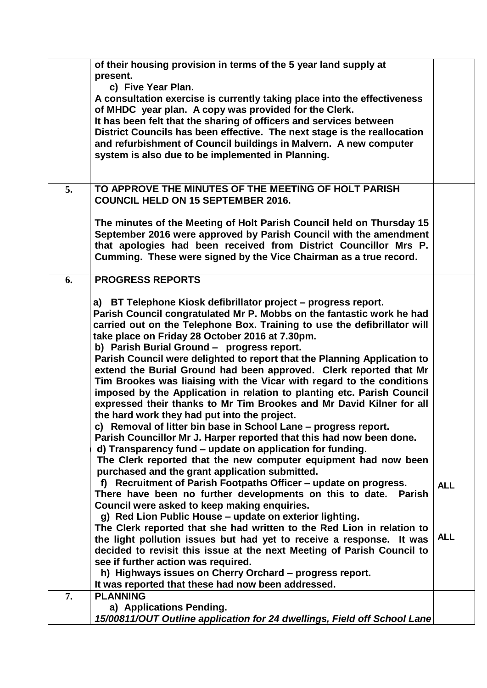|    | of their housing provision in terms of the 5 year land supply at          |            |
|----|---------------------------------------------------------------------------|------------|
|    | present.                                                                  |            |
|    | c) Five Year Plan.                                                        |            |
|    |                                                                           |            |
|    | A consultation exercise is currently taking place into the effectiveness  |            |
|    | of MHDC year plan. A copy was provided for the Clerk.                     |            |
|    | It has been felt that the sharing of officers and services between        |            |
|    | District Councils has been effective. The next stage is the reallocation  |            |
|    | and refurbishment of Council buildings in Malvern. A new computer         |            |
|    | system is also due to be implemented in Planning.                         |            |
|    |                                                                           |            |
|    |                                                                           |            |
| 5. | TO APPROVE THE MINUTES OF THE MEETING OF HOLT PARISH                      |            |
|    | <b>COUNCIL HELD ON 15 SEPTEMBER 2016.</b>                                 |            |
|    |                                                                           |            |
|    | The minutes of the Meeting of Holt Parish Council held on Thursday 15     |            |
|    |                                                                           |            |
|    | September 2016 were approved by Parish Council with the amendment         |            |
|    | that apologies had been received from District Councillor Mrs P.          |            |
|    | Cumming. These were signed by the Vice Chairman as a true record.         |            |
|    |                                                                           |            |
| 6. | <b>PROGRESS REPORTS</b>                                                   |            |
|    |                                                                           |            |
|    | a) BT Telephone Kiosk defibrillator project - progress report.            |            |
|    | Parish Council congratulated Mr P. Mobbs on the fantastic work he had     |            |
|    | carried out on the Telephone Box. Training to use the defibrillator will  |            |
|    | take place on Friday 28 October 2016 at 7.30pm.                           |            |
|    | b) Parish Burial Ground - progress report.                                |            |
|    | Parish Council were delighted to report that the Planning Application to  |            |
|    | extend the Burial Ground had been approved. Clerk reported that Mr        |            |
|    | Tim Brookes was liaising with the Vicar with regard to the conditions     |            |
|    | imposed by the Application in relation to planting etc. Parish Council    |            |
|    | expressed their thanks to Mr Tim Brookes and Mr David Kilner for all      |            |
|    |                                                                           |            |
|    | the hard work they had put into the project.                              |            |
|    | c) Removal of litter bin base in School Lane - progress report.           |            |
|    | Parish Councillor Mr J. Harper reported that this had now been done.      |            |
|    | d) Transparency fund – update on application for funding.                 |            |
|    | The Clerk reported that the new computer equipment had now been           |            |
|    | purchased and the grant application submitted.                            |            |
|    | f) Recruitment of Parish Footpaths Officer - update on progress.          | <b>ALL</b> |
|    | There have been no further developments on this to date.<br><b>Parish</b> |            |
|    | Council were asked to keep making enquiries.                              |            |
|    | g) Red Lion Public House - update on exterior lighting.                   |            |
|    | The Clerk reported that she had written to the Red Lion in relation to    |            |
|    | the light pollution issues but had yet to receive a response. It was      | <b>ALL</b> |
|    | decided to revisit this issue at the next Meeting of Parish Council to    |            |
|    |                                                                           |            |
|    | see if further action was required.                                       |            |
|    | h) Highways issues on Cherry Orchard - progress report.                   |            |
|    | It was reported that these had now been addressed.                        |            |
| 7. | <b>PLANNING</b>                                                           |            |
|    | a) Applications Pending.                                                  |            |
|    | 15/00811/OUT Outline application for 24 dwellings, Field off School Lane  |            |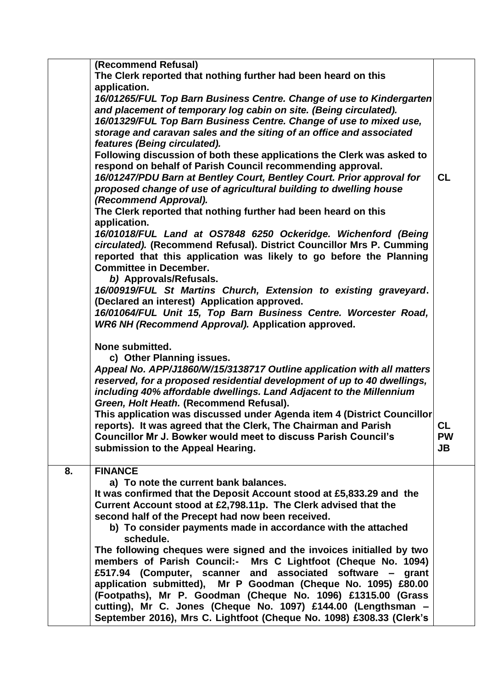|    | (Recommend Refusal)<br>The Clerk reported that nothing further had been heard on this                                                                                                                                                                                              |                 |
|----|------------------------------------------------------------------------------------------------------------------------------------------------------------------------------------------------------------------------------------------------------------------------------------|-----------------|
|    | application.                                                                                                                                                                                                                                                                       |                 |
|    | 16/01265/FUL Top Barn Business Centre. Change of use to Kindergarten<br>and placement of temporary log cabin on site. (Being circulated).<br>16/01329/FUL Top Barn Business Centre. Change of use to mixed use,                                                                    |                 |
|    | storage and caravan sales and the siting of an office and associated<br>features (Being circulated).                                                                                                                                                                               |                 |
|    | Following discussion of both these applications the Clerk was asked to<br>respond on behalf of Parish Council recommending approval.<br>16/01247/PDU Barn at Bentley Court, Bentley Court. Prior approval for<br>proposed change of use of agricultural building to dwelling house | <b>CL</b>       |
|    | (Recommend Approval).<br>The Clerk reported that nothing further had been heard on this                                                                                                                                                                                            |                 |
|    | application.<br>16/01018/FUL Land at OS7848 6250 Ockeridge. Wichenford (Being<br>circulated). (Recommend Refusal). District Councillor Mrs P. Cumming<br>reported that this application was likely to go before the Planning<br><b>Committee in December.</b>                      |                 |
|    | b) Approvals/Refusals.<br>16/00919/FUL St Martins Church, Extension to existing graveyard.<br>(Declared an interest) Application approved.<br>16/01064/FUL Unit 15, Top Barn Business Centre. Worcester Road,                                                                      |                 |
|    | WR6 NH (Recommend Approval). Application approved.                                                                                                                                                                                                                                 |                 |
|    | None submitted.<br>c) Other Planning issues.                                                                                                                                                                                                                                       |                 |
|    | Appeal No. APP/J1860/W/15/3138717 Outline application with all matters<br>reserved, for a proposed residential development of up to 40 dwellings,<br>including 40% affordable dwellings. Land Adjacent to the Millennium<br>Green, Holt Heath. (Recommend Refusal).                |                 |
|    | This application was discussed under Agenda item 4 (District Councillor                                                                                                                                                                                                            |                 |
|    | reports). It was agreed that the Clerk, The Chairman and Parish                                                                                                                                                                                                                    | <b>CL</b>       |
|    | <b>Councillor Mr J. Bowker would meet to discuss Parish Council's</b><br>submission to the Appeal Hearing.                                                                                                                                                                         | <b>PW</b><br>JB |
| 8. | <b>FINANCE</b>                                                                                                                                                                                                                                                                     |                 |
|    | a) To note the current bank balances.<br>It was confirmed that the Deposit Account stood at £5,833.29 and the                                                                                                                                                                      |                 |
|    | Current Account stood at £2,798.11p. The Clerk advised that the                                                                                                                                                                                                                    |                 |
|    | second half of the Precept had now been received.                                                                                                                                                                                                                                  |                 |
|    | b) To consider payments made in accordance with the attached<br>schedule.                                                                                                                                                                                                          |                 |
|    | The following cheques were signed and the invoices initialled by two                                                                                                                                                                                                               |                 |
|    | members of Parish Council:- Mrs C Lightfoot (Cheque No. 1094)                                                                                                                                                                                                                      |                 |
|    | £517.94 (Computer, scanner and associated software -<br>grant                                                                                                                                                                                                                      |                 |
|    | application submitted), Mr P Goodman (Cheque No. 1095) £80.00<br>(Footpaths), Mr P. Goodman (Cheque No. 1096) £1315.00 (Grass                                                                                                                                                      |                 |
|    | cutting), Mr C. Jones (Cheque No. 1097) £144.00 (Lengthsman -<br>September 2016), Mrs C. Lightfoot (Cheque No. 1098) £308.33 (Clerk's                                                                                                                                              |                 |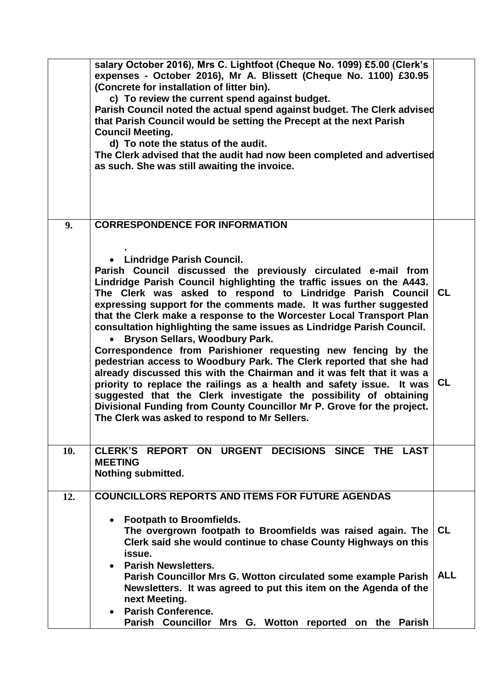|     | salary October 2016), Mrs C. Lightfoot (Cheque No. 1099) £5.00 (Clerk's<br>expenses - October 2016), Mr A. Blissett (Cheque No. 1100) £30.95<br>(Concrete for installation of litter bin).<br>c) To review the current spend against budget.<br>Parish Council noted the actual spend against budget. The Clerk advised<br>that Parish Council would be setting the Precept at the next Parish<br><b>Council Meeting.</b><br>d) To note the status of the audit.<br>The Clerk advised that the audit had now been completed and advertised<br>as such. She was still awaiting the invoice.                                                                                                                                                                                                                                                                                                                                                                                                     |                 |
|-----|------------------------------------------------------------------------------------------------------------------------------------------------------------------------------------------------------------------------------------------------------------------------------------------------------------------------------------------------------------------------------------------------------------------------------------------------------------------------------------------------------------------------------------------------------------------------------------------------------------------------------------------------------------------------------------------------------------------------------------------------------------------------------------------------------------------------------------------------------------------------------------------------------------------------------------------------------------------------------------------------|-----------------|
| 9.  | <b>CORRESPONDENCE FOR INFORMATION</b>                                                                                                                                                                                                                                                                                                                                                                                                                                                                                                                                                                                                                                                                                                                                                                                                                                                                                                                                                          |                 |
|     | <b>Lindridge Parish Council.</b><br>Parish Council discussed the previously circulated e-mail from<br>Lindridge Parish Council highlighting the traffic issues on the A443.<br>The Clerk was asked to respond to Lindridge Parish Council<br>expressing support for the comments made. It was further suggested<br>that the Clerk make a response to the Worcester Local Transport Plan<br>consultation highlighting the same issues as Lindridge Parish Council.<br>Bryson Sellars, Woodbury Park.<br>Correspondence from Parishioner requesting new fencing by the<br>pedestrian access to Woodbury Park. The Clerk reported that she had<br>already discussed this with the Chairman and it was felt that it was a<br>priority to replace the railings as a health and safety issue. It was<br>suggested that the Clerk investigate the possibility of obtaining<br>Divisional Funding from County Councillor Mr P. Grove for the project.<br>The Clerk was asked to respond to Mr Sellers. | <b>CL</b><br>CL |
| 10. | CLERK'S REPORT ON URGENT DECISIONS SINCE THE LAST<br><b>MEETING</b>                                                                                                                                                                                                                                                                                                                                                                                                                                                                                                                                                                                                                                                                                                                                                                                                                                                                                                                            |                 |
|     | <b>Nothing submitted.</b>                                                                                                                                                                                                                                                                                                                                                                                                                                                                                                                                                                                                                                                                                                                                                                                                                                                                                                                                                                      |                 |
| 12. | <b>COUNCILLORS REPORTS AND ITEMS FOR FUTURE AGENDAS</b>                                                                                                                                                                                                                                                                                                                                                                                                                                                                                                                                                                                                                                                                                                                                                                                                                                                                                                                                        |                 |
|     | <b>Footpath to Broomfields.</b><br>$\bullet$<br>The overgrown footpath to Broomfields was raised again. The<br>Clerk said she would continue to chase County Highways on this<br>issue.<br><b>Parish Newsletters.</b>                                                                                                                                                                                                                                                                                                                                                                                                                                                                                                                                                                                                                                                                                                                                                                          | <b>CL</b>       |
|     | Parish Councillor Mrs G. Wotton circulated some example Parish<br>Newsletters. It was agreed to put this item on the Agenda of the<br>next Meeting.<br><b>Parish Conference.</b><br>$\bullet$<br>Parish Councillor Mrs G. Wotton reported on the Parish                                                                                                                                                                                                                                                                                                                                                                                                                                                                                                                                                                                                                                                                                                                                        | <b>ALL</b>      |